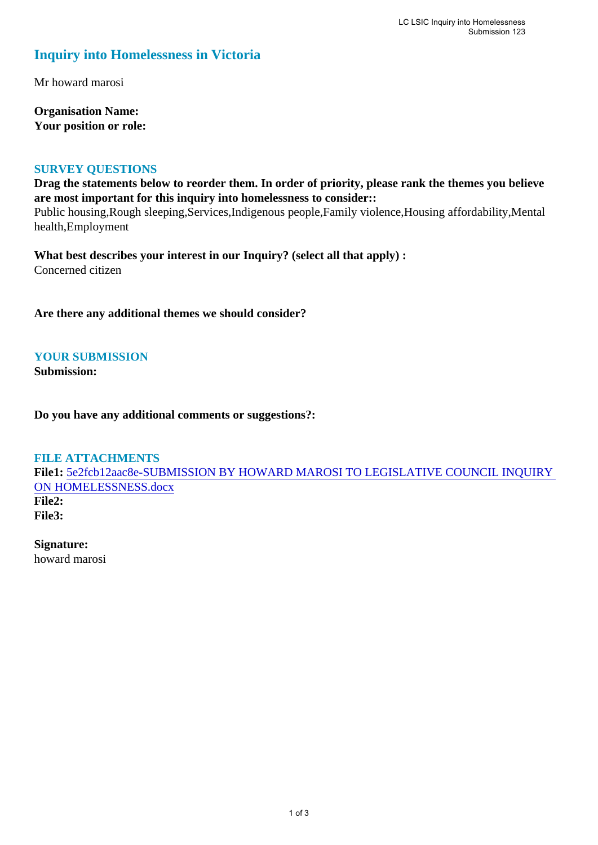## **Inquiry into Homelessness in Victoria**

Mr howard marosi

**Organisation Name: Your position or role:** 

## **SURVEY QUESTIONS**

**Drag the statements below to reorder them. In order of priority, please rank the themes you believe are most important for this inquiry into homelessness to consider::**  Public housing,Rough sleeping,Services,Indigenous people,Family violence,Housing affordability,Mental

health,Employment

**What best describes your interest in our Inquiry? (select all that apply) :**  Concerned citizen

**Are there any additional themes we should consider?**

**YOUR SUBMISSION Submission:** 

**Do you have any additional comments or suggestions?:** 

**FILE ATTACHMENTS File1:** [5e2fcb12aac8e-SUBMISSION BY HOWARD MAROSI TO LEGISLATIVE COUNCIL INQUIRY](https://www.parliament.vic.gov.au/component/rsform/submission-view-file/740ef1746bca0e4366fb50ac8d59eddd/abc6b679391c1fee01da471d256c3a7b?Itemid=463)  [ON HOMELESSNESS.docx](https://www.parliament.vic.gov.au/component/rsform/submission-view-file/740ef1746bca0e4366fb50ac8d59eddd/abc6b679391c1fee01da471d256c3a7b?Itemid=463) **File2: File3:** 

**Signature:** howard marosi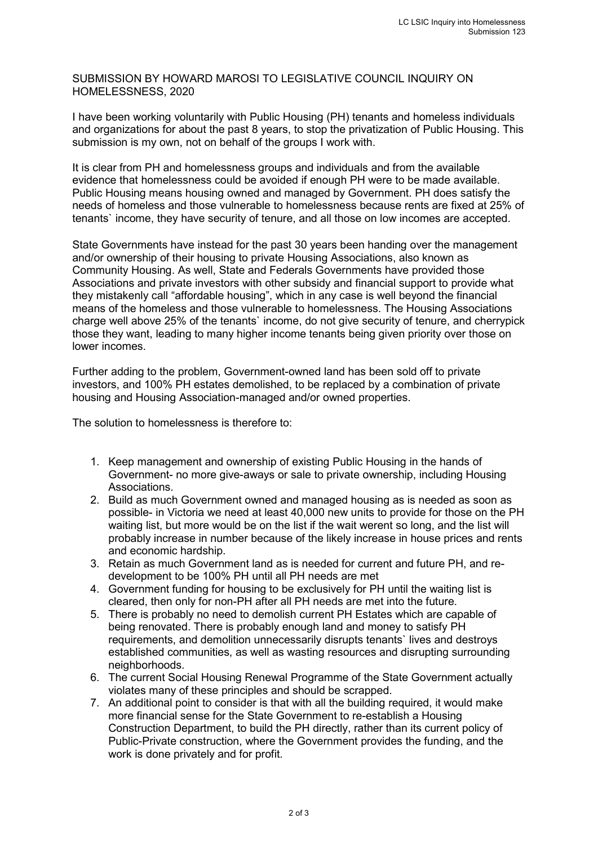SUBMISSION BY HOWARD MAROSI TO LEGISLATIVE COUNCIL INQUIRY ON HOMELESSNESS, 2020

I have been working voluntarily with Public Housing (PH) tenants and homeless individuals and organizations for about the past 8 years, to stop the privatization of Public Housing. This submission is my own, not on behalf of the groups I work with.

It is clear from PH and homelessness groups and individuals and from the available evidence that homelessness could be avoided if enough PH were to be made available. Public Housing means housing owned and managed by Government. PH does satisfy the needs of homeless and those vulnerable to homelessness because rents are fixed at 25% of tenants` income, they have security of tenure, and all those on low incomes are accepted.

State Governments have instead for the past 30 years been handing over the management and/or ownership of their housing to private Housing Associations, also known as Community Housing. As well, State and Federals Governments have provided those Associations and private investors with other subsidy and financial support to provide what they mistakenly call "affordable housing", which in any case is well beyond the financial means of the homeless and those vulnerable to homelessness. The Housing Associations charge well above 25% of the tenants` income, do not give security of tenure, and cherrypick those they want, leading to many higher income tenants being given priority over those on lower incomes.

Further adding to the problem, Government-owned land has been sold off to private investors, and 100% PH estates demolished, to be replaced by a combination of private housing and Housing Association-managed and/or owned properties.

The solution to homelessness is therefore to:

- 1. Keep management and ownership of existing Public Housing in the hands of Government- no more give-aways or sale to private ownership, including Housing Associations.
- 2. Build as much Government owned and managed housing as is needed as soon as possible- in Victoria we need at least 40,000 new units to provide for those on the PH waiting list, but more would be on the list if the wait werent so long, and the list will probably increase in number because of the likely increase in house prices and rents and economic hardship.
- 3. Retain as much Government land as is needed for current and future PH, and redevelopment to be 100% PH until all PH needs are met
- 4. Government funding for housing to be exclusively for PH until the waiting list is cleared, then only for non-PH after all PH needs are met into the future.
- 5. There is probably no need to demolish current PH Estates which are capable of being renovated. There is probably enough land and money to satisfy PH requirements, and demolition unnecessarily disrupts tenants` lives and destroys established communities, as well as wasting resources and disrupting surrounding neighborhoods.
- 6. The current Social Housing Renewal Programme of the State Government actually violates many of these principles and should be scrapped.
- 7. An additional point to consider is that with all the building required, it would make more financial sense for the State Government to re-establish a Housing Construction Department, to build the PH directly, rather than its current policy of Public-Private construction, where the Government provides the funding, and the work is done privately and for profit.